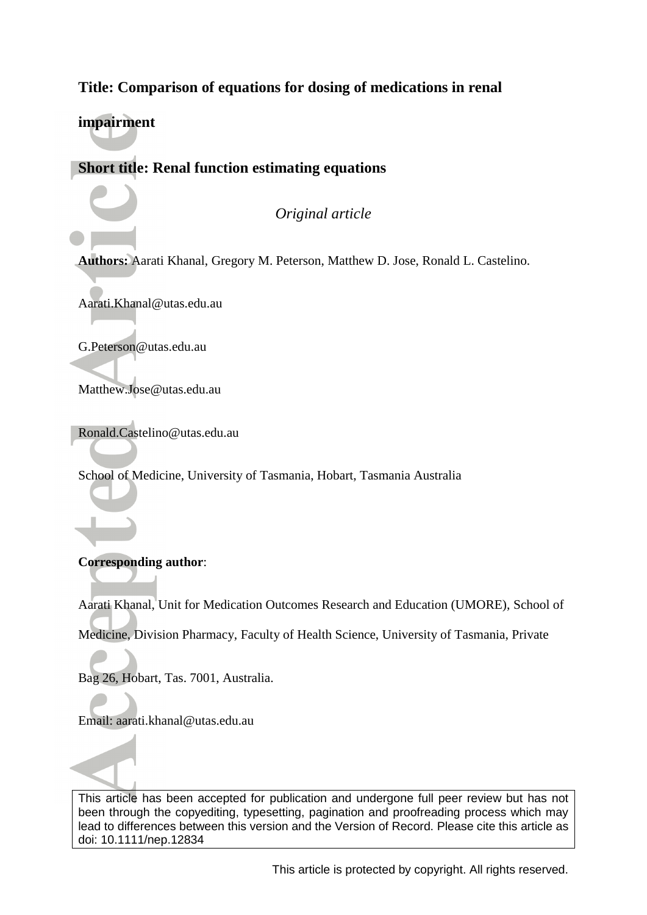# **Title: Comparison of equations for dosing of medications in renal**

## **impairment**

**Short title: Renal function estimating equations**

*Original article*

**Authors:** Aarati Khanal, Gregory M. Peterson, Matthew D. Jose, Ronald L. Castelino.

[Aarati.Khanal@utas.edu.au](file:///C:/Users/Gregory/Desktop/Aarati%20paper/Aarati.Khanal@utas.edu.au)

[G.Peterson@utas.edu.au](file:///C:/Users/Gregory/Desktop/Aarati%20paper/G.Peterson@utas.edu.au)

[Matthew.Jose@utas.edu.au](mailto:Matthew.Jose@utas.edu.au)

[Ronald.Castelino@utas.edu.au](file:///C:/Users/Gregory/Desktop/Aarati%20paper/Ronald.Castelino@utas.edu.au)

School of Medicine, University of Tasmania, Hobart, Tasmania Australia

**Corresponding author**:

Aarati Khanal, Unit for Medication Outcomes Research and Education (UMORE), School of Medicine, Division Pharmacy, Faculty of Health Science, University of Tasmania, Private

Bag 26, Hobart, Tas. 7001, Australia.

Email: aarati.khanal@utas.edu.au

This article has been accepted for publication and undergone full peer review but has not been through the copyediting, typesetting, pagination and proofreading process which may lead to differences between this version and the Version of Record. Please cite this article as doi: 10.1111/nep.12834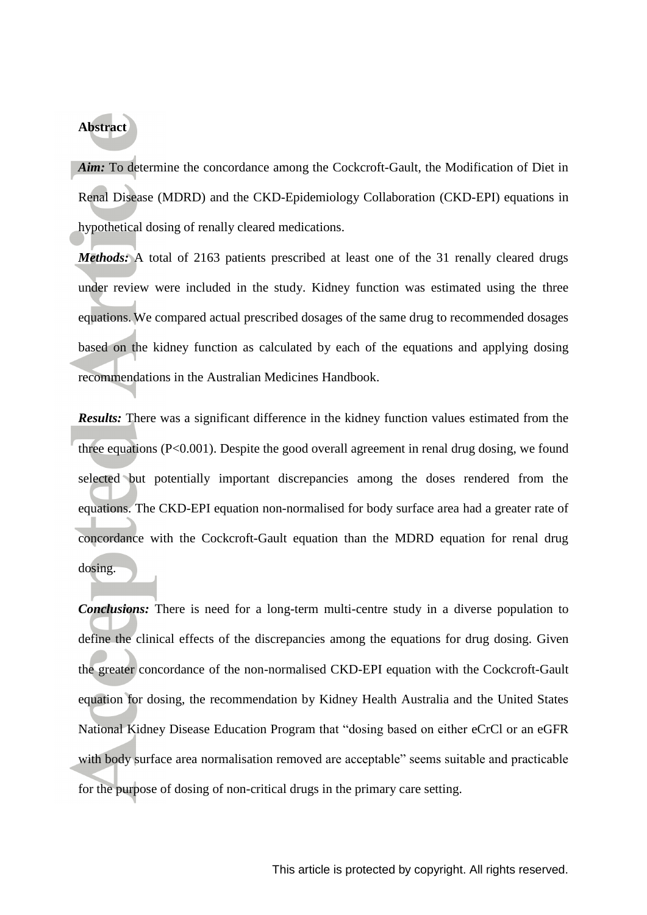## **Abstract**

*Aim:* To determine the concordance among the Cockcroft-Gault, the Modification of Diet in Renal Disease (MDRD) and the CKD-Epidemiology Collaboration (CKD-EPI) equations in hypothetical dosing of renally cleared medications.

*Methods:* A total of 2163 patients prescribed at least one of the 31 renally cleared drugs under review were included in the study. Kidney function was estimated using the three equations. We compared actual prescribed dosages of the same drug to recommended dosages based on the kidney function as calculated by each of the equations and applying dosing recommendations in the Australian Medicines Handbook.

*Results:* There was a significant difference in the kidney function values estimated from the three equations (P<0.001). Despite the good overall agreement in renal drug dosing, we found selected but potentially important discrepancies among the doses rendered from the equations. The CKD-EPI equation non-normalised for body surface area had a greater rate of concordance with the Cockcroft-Gault equation than the MDRD equation for renal drug dosing.

*Conclusions:* There is need for a long-term multi-centre study in a diverse population to define the clinical effects of the discrepancies among the equations for drug dosing. Given the greater concordance of the non-normalised CKD-EPI equation with the Cockcroft-Gault equation for dosing, the recommendation by Kidney Health Australia and the United States National Kidney Disease Education Program that "dosing based on either eCrCl or an eGFR with body surface area normalisation removed are acceptable" seems suitable and practicable for the purpose of dosing of non-critical drugs in the primary care setting.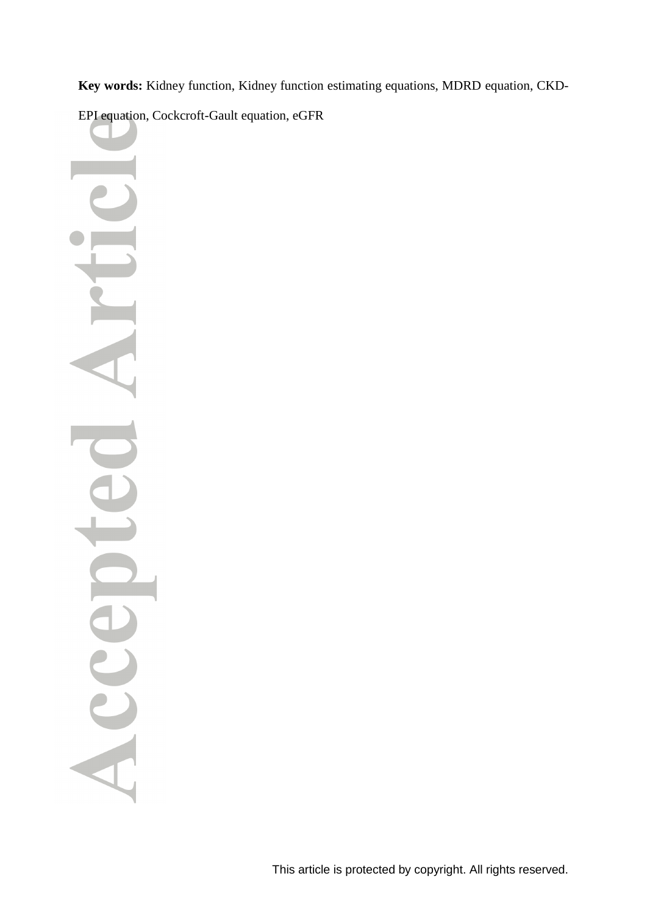**Key words:** Kidney function, Kidney function estimating equations, MDRD equation, CKD-

EPI equation, Cockcroft-Gault equation, eGFR

Acc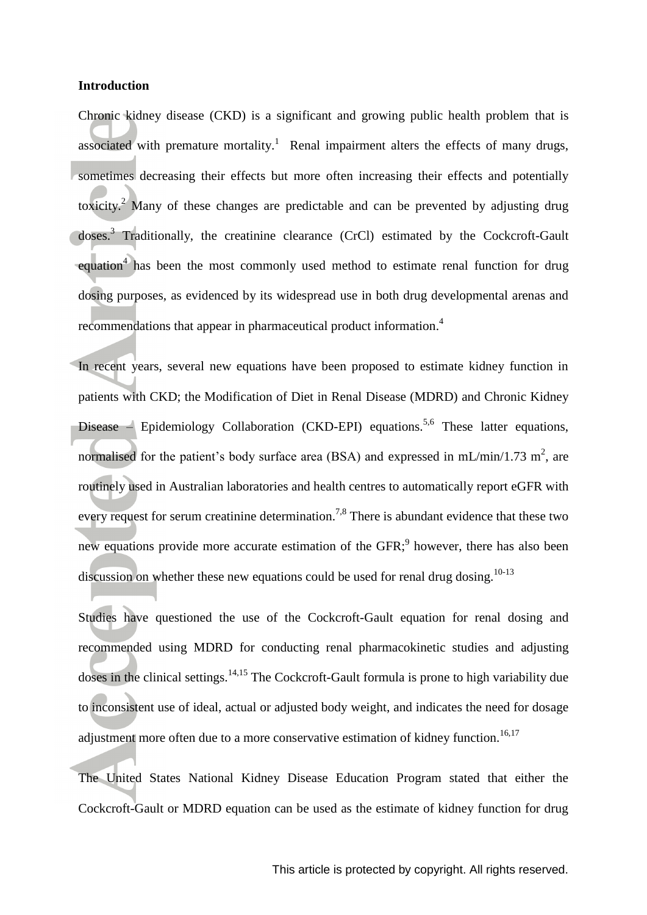#### **Introduction**

Chronic kidney disease (CKD) is a significant and growing public health problem that is associated with premature mortality.<sup>[1](#page-11-0)</sup> Renal impairment alters the effects of many drugs, sometimes decreasing their effects but more often increasing their effects and potentially toxicity[.](#page-11-1)<sup>2</sup> Many of these changes are predictable and can be prevented by adjusting drug doses[.](#page-11-2)<sup>3</sup> Traditionally, the creatinine clearance (CrCl) estimated by the Cockcroft-Gault equatio[n](#page-11-3)<sup>4</sup> has been the most commonly used method to estimate renal function for drug dosing purposes, as evidenced by its widespread use in both drug developmental arenas and recommendations that appear in pharmaceutical product information.<sup>[4](#page-11-3)</sup>

In recent years, several new equations have been proposed to estimate kidney function in patients with CKD; the Modification of Diet in Renal Disease (MDRD) and Chronic Kidney Disease  $-$  Epidemiology Collaboration (CKD-EPI) equations.<sup>[5,](#page-11-4)[6](#page-11-5)</sup> These latter equations, normalised for the patient's body surface area (BSA) and expressed in mL/min/1.73 m<sup>2</sup>, are routinely used in Australian laboratories and health centres to automatically report eGFR with every request for serum creatinine determination.<sup>[7,](#page-11-6)[8](#page-11-7)</sup> There is abundant evidence that these two new equations provide more accurate estimation of the GFR;<sup>[9](#page-11-8)</sup> however, there has also been discussion on whether these new equations could be used for renal drug dosing.<sup>[10-13](#page-11-9)</sup>

Studies have questioned the use of the Cockcroft-Gault equation for renal dosing and recommended using MDRD for conducting renal pharmacokinetic studies and adjusting doses in the clinical settings.<sup>[14,](#page-11-10)[15](#page-11-11)</sup> The Cockcroft-Gault formula is prone to high variability due to inconsistent use of ideal, actual or adjusted body weight, and indicates the need for dosage adjustment more often due to a more conservative estimation of kidney function.<sup>[16](#page-11-12)[,17](#page-11-13)</sup>

The United States National Kidney Disease Education Program stated that either the Cockcroft-Gault or MDRD equation can be used as the estimate of kidney function for drug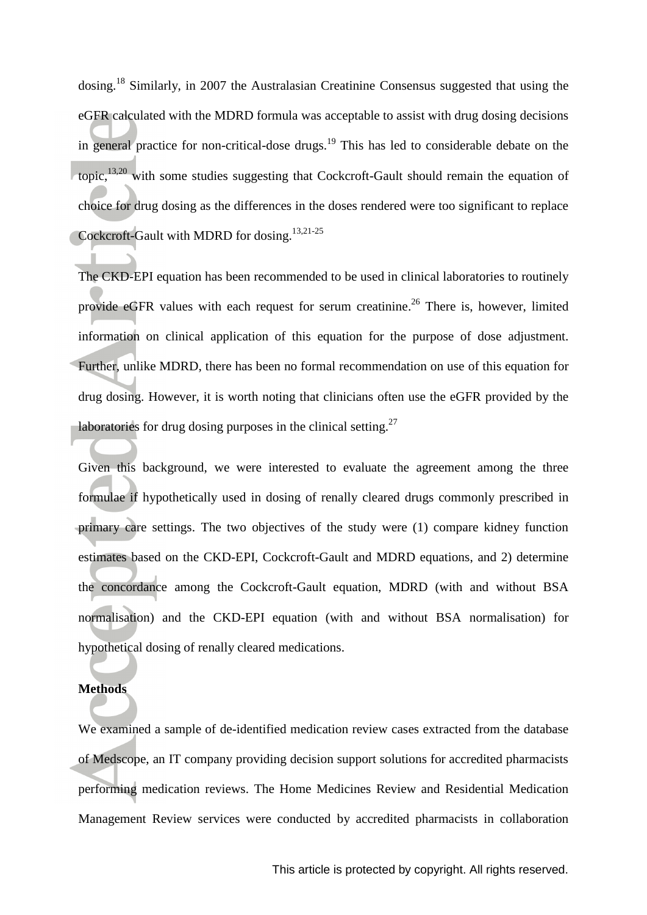dosing.<sup>[18](#page-11-14)</sup> Similarly, in 2007 the Australasian Creatinine Consensus suggested that using the eGFR calculated with the MDRD formula was acceptable to assist with drug dosing decisions in general practice for non-critical-dose drugs.<sup>[19](#page-11-15)</sup> This has led to considerable debate on the topic,<sup>[13](#page-11-16)[,20](#page-12-0)</sup> with some studies suggesting that Cockcroft-Gault should remain the equation of choice for drug dosing as the differences in the doses rendered were too significant to replace Cockcroft-Gault with MDRD for dosing.[13](#page-11-16)[,21-25](#page-12-1)

The CKD-EPI equation has been recommended to be used in clinical laboratories to routinely provide eGFR values with each request for serum creatinine.<sup>[26](#page-12-2)</sup> There is, however, limited information on clinical application of this equation for the purpose of dose adjustment. Further, unlike MDRD, there has been no formal recommendation on use of this equation for drug dosing. However, it is worth noting that clinicians often use the eGFR provided by the laboratories for drug dosing purposes in the clinical setting.<sup>[27](#page-12-3)</sup>

Given this background, we were interested to evaluate the agreement among the three formulae if hypothetically used in dosing of renally cleared drugs commonly prescribed in primary care settings. The two objectives of the study were (1) compare kidney function estimates based on the CKD-EPI, Cockcroft-Gault and MDRD equations, and 2) determine the concordance among the Cockcroft-Gault equation, MDRD (with and without BSA normalisation) and the CKD-EPI equation (with and without BSA normalisation) for hypothetical dosing of renally cleared medications.

#### **Methods**

We examined a sample of de-identified medication review cases extracted from the database of Medscope, an IT company providing decision support solutions for accredited pharmacists performing medication reviews. The Home Medicines Review and Residential Medication Management Review services were conducted by accredited pharmacists in collaboration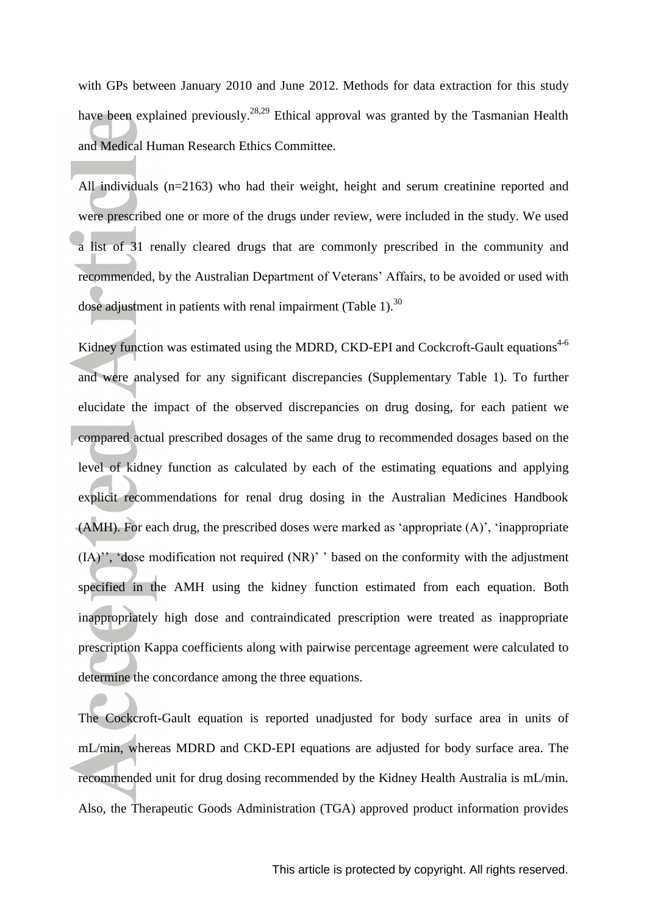with GPs between January 2010 and June 2012. Methods for data extraction for this study have been explained previously.<sup>[28](#page-12-4)[,29](#page-12-5)</sup> Ethical approval was granted by the Tasmanian Health and Medical Human Research Ethics Committee.

All individuals (n=2163) who had their weight, height and serum creatinine reported and were prescribed one or more of the drugs under review, were included in the study. We used a list of 31 renally cleared drugs that are commonly prescribed in the community and recommended, by the Australian Department of Veterans' Affairs, to be avoided or used with dose adjustment in patients with renal impairment (Table 1). $^{30}$  $^{30}$  $^{30}$ 

Kidney function was estimated using the MDRD, CKD-EPI and Cockcroft-Gault equations<sup> $4-6$ </sup> and were analysed for any significant discrepancies (Supplementary Table 1). To further elucidate the impact of the observed discrepancies on drug dosing, for each patient we compared actual prescribed dosages of the same drug to recommended dosages based on the level of kidney function as calculated by each of the estimating equations and applying explicit recommendations for renal drug dosing in the Australian Medicines Handbook (AMH). For each drug, the prescribed doses were marked as 'appropriate (A)', 'inappropriate (IA)'', 'dose modification not required (NR)' ' based on the conformity with the adjustment specified in the AMH using the kidney function estimated from each equation. Both inappropriately high dose and contraindicated prescription were treated as inappropriate prescription Kappa coefficients along with pairwise percentage agreement were calculated to determine the concordance among the three equations.

The Cockcroft-Gault equation is reported unadjusted for body surface area in units of mL/min, whereas MDRD and CKD-EPI equations are adjusted for body surface area. The recommended unit for drug dosing recommended by the Kidney Health Australia is mL/min. Also, the Therapeutic Goods Administration (TGA) approved product information provides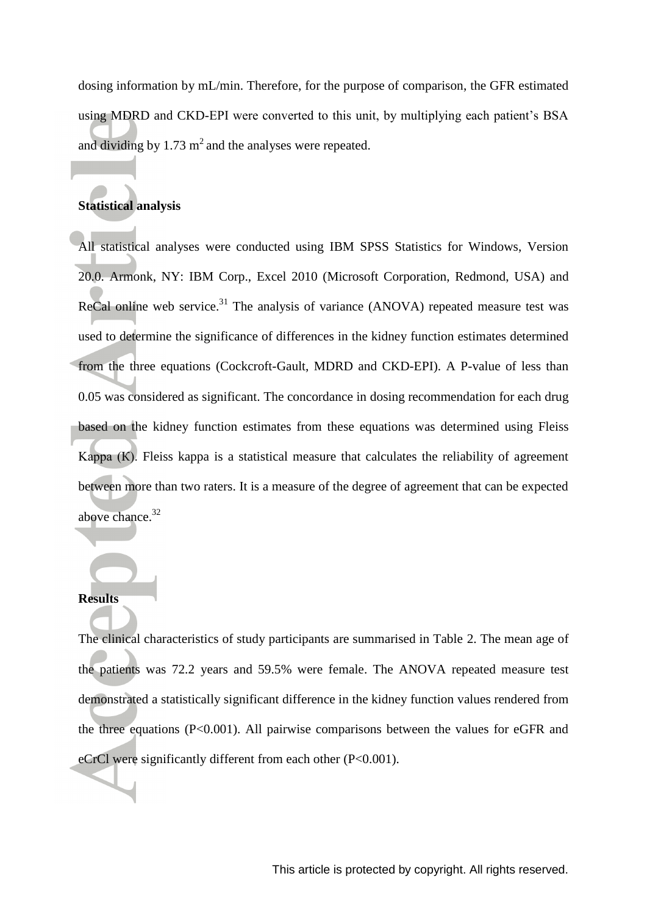dosing information by mL/min. Therefore, for the purpose of comparison, the GFR estimated using MDRD and CKD-EPI were converted to this unit, by multiplying each patient's BSA and dividing by 1.73  $m^2$  and the analyses were repeated.

### **Statistical analysis**

All statistical analyses were conducted using IBM SPSS Statistics for Windows, Version 20.0. Armonk, NY: IBM Corp., Excel 2010 (Microsoft Corporation, Redmond, USA) and ReCal online web service.<sup>[31](#page-12-7)</sup> The analysis of variance  $(ANOVA)$  repeated measure test was used to determine the significance of differences in the kidney function estimates determined from the three equations (Cockcroft-Gault, MDRD and CKD-EPI). A P-value of less than 0.05 was considered as significant. The concordance in dosing recommendation for each drug based on the kidney function estimates from these equations was determined using Fleiss Kappa (K). Fleiss kappa is a statistical measure that calculates the reliability of agreement between more than two raters. It is a measure of the degree of agreement that can be expected above chance.<sup>[32](#page-12-8)</sup>

### **Results**

The clinical characteristics of study participants are summarised in Table 2. The mean age of the patients was 72.2 years and 59.5% were female. The ANOVA repeated measure test demonstrated a statistically significant difference in the kidney function values rendered from the three equations (P<0.001). All pairwise comparisons between the values for eGFR and eCrCl were significantly different from each other (P<0.001).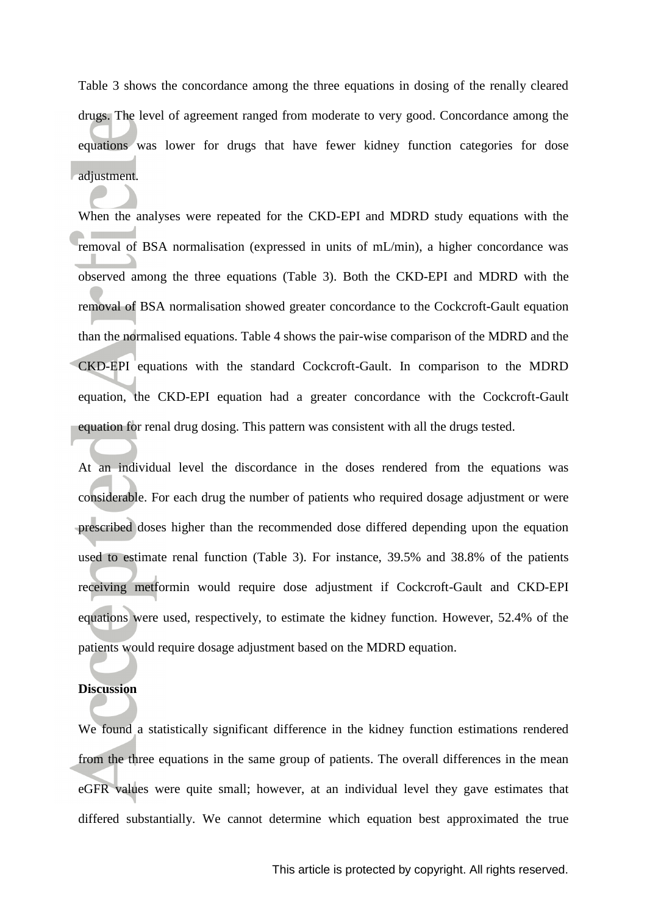Table 3 shows the concordance among the three equations in dosing of the renally cleared drugs. The level of agreement ranged from moderate to very good. Concordance among the equations was lower for drugs that have fewer kidney function categories for dose adjustment.

When the analyses were repeated for the CKD-EPI and MDRD study equations with the removal of BSA normalisation (expressed in units of mL/min), a higher concordance was observed among the three equations (Table 3). Both the CKD-EPI and MDRD with the removal of BSA normalisation showed greater concordance to the Cockcroft-Gault equation than the normalised equations. Table 4 shows the pair-wise comparison of the MDRD and the CKD-EPI equations with the standard Cockcroft-Gault. In comparison to the MDRD equation, the CKD-EPI equation had a greater concordance with the Cockcroft-Gault equation for renal drug dosing. This pattern was consistent with all the drugs tested.

At an individual level the discordance in the doses rendered from the equations was considerable. For each drug the number of patients who required dosage adjustment or were prescribed doses higher than the recommended dose differed depending upon the equation used to estimate renal function (Table 3). For instance, 39.5% and 38.8% of the patients receiving metformin would require dose adjustment if Cockcroft-Gault and CKD-EPI equations were used, respectively, to estimate the kidney function. However, 52.4% of the patients would require dosage adjustment based on the MDRD equation.

#### **Discussion**

We found a statistically significant difference in the kidney function estimations rendered from the three equations in the same group of patients. The overall differences in the mean eGFR values were quite small; however, at an individual level they gave estimates that differed substantially. We cannot determine which equation best approximated the true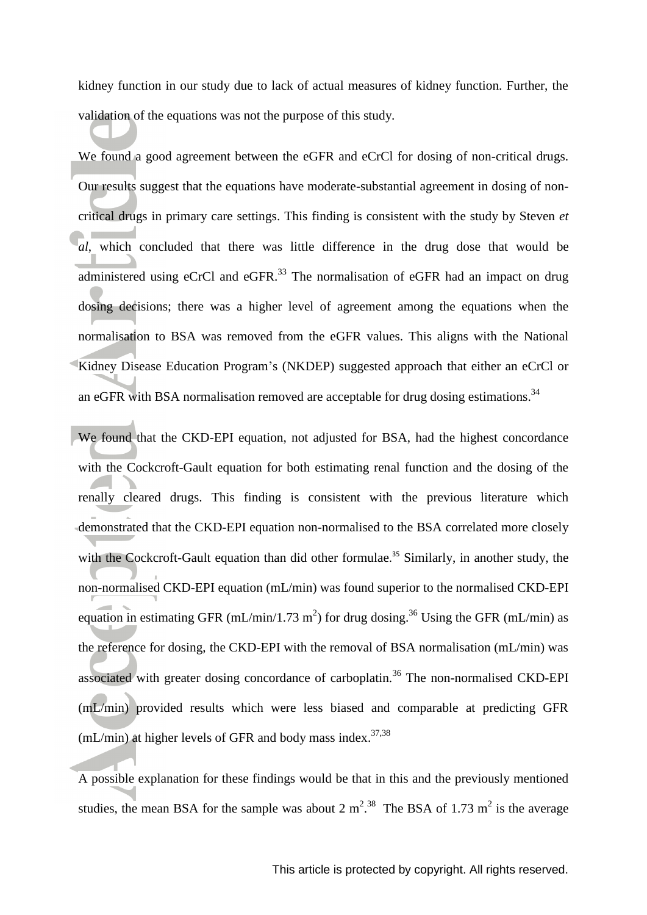kidney function in our study due to lack of actual measures of kidney function. Further, the validation of the equations was not the purpose of this study.

We found a good agreement between the eGFR and eCrCl for dosing of non-critical drugs. Our results suggest that the equations have moderate-substantial agreement in dosing of noncritical drugs in primary care settings. This finding is consistent with the study by Steven *et al*, which concluded that there was little difference in the drug dose that would be administered using eCrCl and eGFR.<sup>[33](#page-12-9)</sup> The normalisation of eGFR had an impact on drug dosing decisions; there was a higher level of agreement among the equations when the normalisation to BSA was removed from the eGFR values. This aligns with the National Kidney Disease Education Program's (NKDEP) suggested approach that either an eCrCl or an eGFR with BSA normalisation removed are acceptable for drug dosing estimations.<sup>[34](#page-12-10)</sup>

We found that the CKD-EPI equation, not adjusted for BSA, had the highest concordance with the Cockcroft-Gault equation for both estimating renal function and the dosing of the renally cleared drugs. This finding is consistent with the previous literature which demonstrated that the CKD-EPI equation non-normalised to the BSA correlated more closely with the Cockcroft-Gault equation than did other formulae.<sup>[35](#page-12-11)</sup> Similarly, in another study, the non-normalised CKD-EPI equation (mL/min) was found superior to the normalised CKD-EPI equation in estimating GFR (mL/min/1.73 m<sup>2</sup>) for drug dosing.<sup>[36](#page-12-12)</sup> Using the GFR (mL/min) as the reference for dosing, the CKD-EPI with the removal of BSA normalisation (mL/min) was associated with greater dosing concordance of carboplatin.<sup>[36](#page-12-12)</sup> The non-normalised CKD-EPI (mL/min) provided results which were less biased and comparable at predicting GFR  $(mL/min)$  at higher levels of GFR and body mass index.<sup>[37,](#page-12-13)[38](#page-12-14)</sup>

A possible explanation for these findings would be that in this and the previously mentioned studies, the mean BSA for the sample was about 2 m<sup>2,[38](#page-12-14)</sup> The BSA of 1.73 m<sup>2</sup> is the average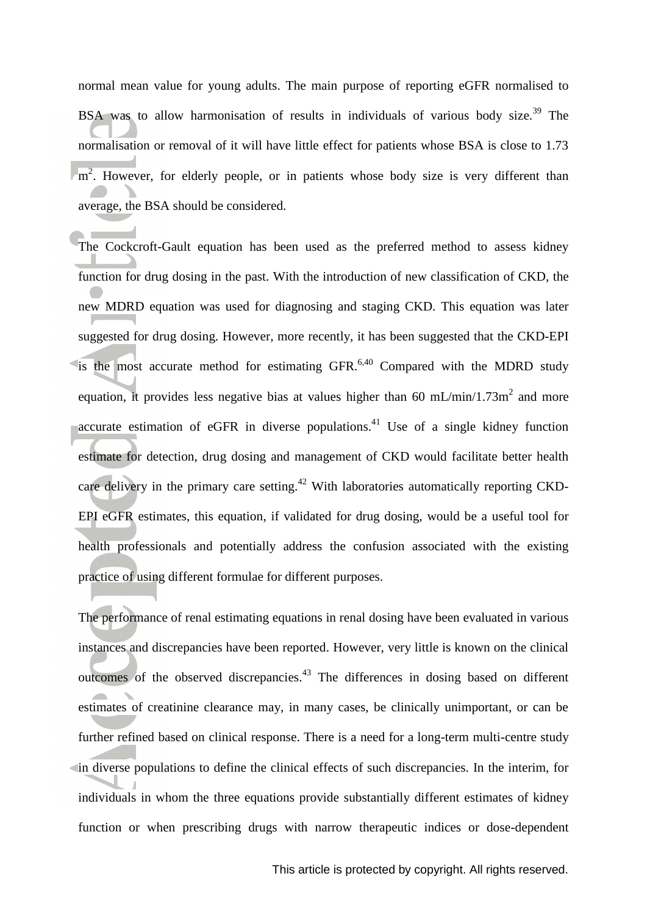normal mean value for young adults. The main purpose of reporting eGFR normalised to BSA was to allow harmonisation of results in individuals of various body size.<sup>[39](#page-13-0)</sup> The normalisation or removal of it will have little effect for patients whose BSA is close to 1.73  $m<sup>2</sup>$ . However, for elderly people, or in patients whose body size is very different than average, the BSA should be considered.

The Cockcroft-Gault equation has been used as the preferred method to assess kidney function for drug dosing in the past. With the introduction of new classification of CKD, the new MDRD equation was used for diagnosing and staging CKD. This equation was later suggested for drug dosing. However, more recently, it has been suggested that the CKD-EPI is the most accurate method for estimating  $GFR$ <sup> $6,40$  $6,40$ </sup> Compared with the MDRD study equation, it provides less negative bias at values higher than 60 mL/min/1.73m<sup>2</sup> and more accurate estimation of eGFR in diverse populations.<sup>[41](#page-13-2)</sup> Use of a single kidney function estimate for detection, drug dosing and management of CKD would facilitate better health care delivery in the primary care setting.<sup> $42$ </sup> With laboratories automatically reporting CKD-EPI eGFR estimates, this equation, if validated for drug dosing, would be a useful tool for health professionals and potentially address the confusion associated with the existing practice of using different formulae for different purposes.

The performance of renal estimating equations in renal dosing have been evaluated in various instances and discrepancies have been reported. However, very little is known on the clinical outcomes of the observed discrepancies.[43](#page-13-4) The differences in dosing based on different estimates of creatinine clearance may, in many cases, be clinically unimportant, or can be further refined based on clinical response. There is a need for a long-term multi-centre study in diverse populations to define the clinical effects of such discrepancies. In the interim, for individuals in whom the three equations provide substantially different estimates of kidney function or when prescribing drugs with narrow therapeutic indices or dose-dependent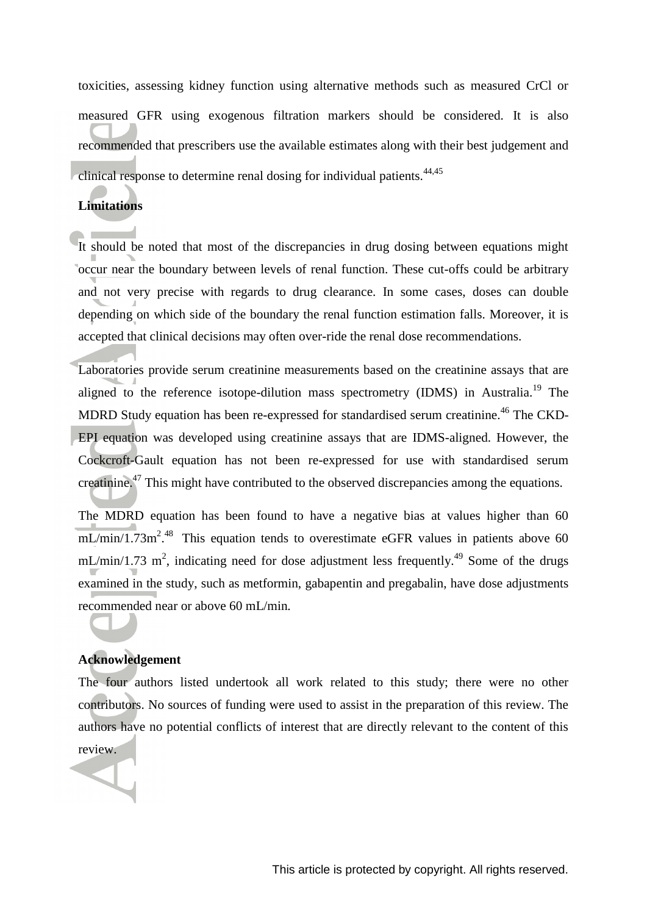toxicities, assessing kidney function using alternative methods such as measured CrCl or measured GFR using exogenous filtration markers should be considered. It is also recommended that prescribers use the available estimates along with their best judgement and clinical response to determine renal dosing for individual patients.<sup>[44,](#page-13-5)[45](#page-13-6)</sup>

#### **Limitations**

It should be noted that most of the discrepancies in drug dosing between equations might occur near the boundary between levels of renal function. These cut-offs could be arbitrary and not very precise with regards to drug clearance. In some cases, doses can double depending on which side of the boundary the renal function estimation falls. Moreover, it is accepted that clinical decisions may often over-ride the renal dose recommendations.

Laboratories provide serum creatinine measurements based on the creatinine assays that are aligned to the reference isotope-dilution mass spectrometry (IDMS) in Australia.<sup>[19](#page-11-15)</sup> The MDRD Study equation has been re-expressed for standardised serum creatinine.<sup>[46](#page-13-7)</sup> The CKD-EPI equation was developed using creatinine assays that are IDMS-aligned. However, the Cockcroft-Gault equation has not been re-expressed for use with standardised serum creatinine.<sup>[47](#page-13-8)</sup> This might have contributed to the observed discrepancies among the equations.

The MDRD equation has been found to have a negative bias at values higher than 60  $mL/min/1.73m<sup>2.48</sup>$  This equation tends to overestimate eGFR values in patients above 60  $mL/min/1.73$  m<sup>2</sup>, indicating need for dose adjustment less frequently.<sup>[49](#page-13-10)</sup> Some of the drugs examined in the study, such as metformin, gabapentin and pregabalin, have dose adjustments recommended near or above 60 mL/min*.*

#### **Acknowledgement**

The four authors listed undertook all work related to this study; there were no other contributors. No sources of funding were used to assist in the preparation of this review. The authors have no potential conflicts of interest that are directly relevant to the content of this review.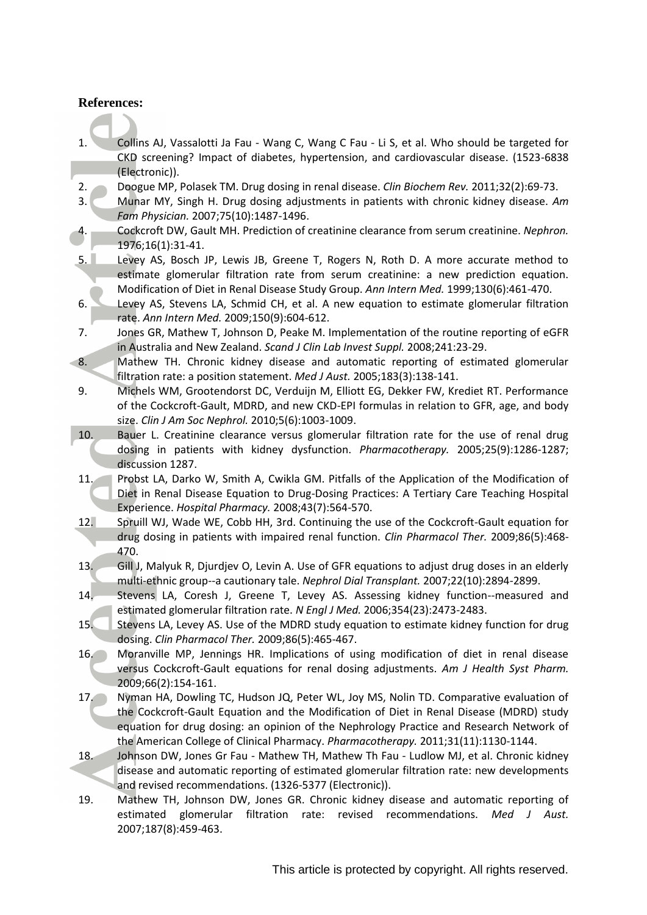### **References:**

- <span id="page-11-0"></span>1. Collins AJ, Vassalotti Ja Fau - Wang C, Wang C Fau - Li S, et al. Who should be targeted for CKD screening? Impact of diabetes, hypertension, and cardiovascular disease. (1523-6838 (Electronic)).
- <span id="page-11-1"></span>2. Doogue MP, Polasek TM. Drug dosing in renal disease. *Clin Biochem Rev.* 2011;32(2):69-73.
- <span id="page-11-2"></span>3. Munar MY, Singh H. Drug dosing adjustments in patients with chronic kidney disease. *Am Fam Physician.* 2007;75(10):1487-1496.
- <span id="page-11-3"></span>4. Cockcroft DW, Gault MH. Prediction of creatinine clearance from serum creatinine. *Nephron.*  1976;16(1):31-41.
- <span id="page-11-4"></span>5. Levey AS, Bosch JP, Lewis JB, Greene T, Rogers N, Roth D. A more accurate method to estimate glomerular filtration rate from serum creatinine: a new prediction equation. Modification of Diet in Renal Disease Study Group. *Ann Intern Med.* 1999;130(6):461-470.
- <span id="page-11-5"></span>6. Levey AS, Stevens LA, Schmid CH, et al. A new equation to estimate glomerular filtration rate. *Ann Intern Med.* 2009;150(9):604-612.
- <span id="page-11-6"></span>7. Jones GR, Mathew T, Johnson D, Peake M. Implementation of the routine reporting of eGFR in Australia and New Zealand. *Scand J Clin Lab Invest Suppl.* 2008;241:23-29.
- <span id="page-11-7"></span>8. Mathew TH. Chronic kidney disease and automatic reporting of estimated glomerular filtration rate: a position statement. *Med J Aust.* 2005;183(3):138-141.
- <span id="page-11-8"></span>9. Michels WM, Grootendorst DC, Verduijn M, Elliott EG, Dekker FW, Krediet RT. Performance of the Cockcroft-Gault, MDRD, and new CKD-EPI formulas in relation to GFR, age, and body size. *Clin J Am Soc Nephrol.* 2010;5(6):1003-1009.
- <span id="page-11-9"></span>10. Bauer L. Creatinine clearance versus glomerular filtration rate for the use of renal drug dosing in patients with kidney dysfunction. *Pharmacotherapy.* 2005;25(9):1286-1287; discussion 1287.
- 11. Probst LA, Darko W, Smith A, Cwikla GM. Pitfalls of the Application of the Modification of Diet in Renal Disease Equation to Drug-Dosing Practices: A Tertiary Care Teaching Hospital Experience. *Hospital Pharmacy.* 2008;43(7):564-570.
- 12. Spruill WJ, Wade WE, Cobb HH, 3rd. Continuing the use of the Cockcroft-Gault equation for drug dosing in patients with impaired renal function. *Clin Pharmacol Ther.* 2009;86(5):468- 470.
- <span id="page-11-16"></span>13. Gill J, Malyuk R, Djurdjev O, Levin A. Use of GFR equations to adjust drug doses in an elderly multi-ethnic group--a cautionary tale. *Nephrol Dial Transplant.* 2007;22(10):2894-2899.
- <span id="page-11-10"></span>14. Stevens LA, Coresh J, Greene T, Levey AS. Assessing kidney function--measured and estimated glomerular filtration rate. *N Engl J Med.* 2006;354(23):2473-2483.
- <span id="page-11-11"></span>15. Stevens LA, Levey AS. Use of the MDRD study equation to estimate kidney function for drug dosing. *Clin Pharmacol Ther.* 2009;86(5):465-467.
- <span id="page-11-12"></span>16. Moranville MP, Jennings HR. Implications of using modification of diet in renal disease versus Cockcroft-Gault equations for renal dosing adjustments. *Am J Health Syst Pharm.*  2009;66(2):154-161.
- <span id="page-11-13"></span>17. Nyman HA, Dowling TC, Hudson JQ, Peter WL, Joy MS, Nolin TD. Comparative evaluation of the Cockcroft-Gault Equation and the Modification of Diet in Renal Disease (MDRD) study equation for drug dosing: an opinion of the Nephrology Practice and Research Network of the American College of Clinical Pharmacy. *Pharmacotherapy.* 2011;31(11):1130-1144.
- <span id="page-11-14"></span>18. Johnson DW, Jones Gr Fau - Mathew TH, Mathew Th Fau - Ludlow MJ, et al. Chronic kidney disease and automatic reporting of estimated glomerular filtration rate: new developments and revised recommendations. (1326-5377 (Electronic)).
- <span id="page-11-15"></span>19. Mathew TH, Johnson DW, Jones GR. Chronic kidney disease and automatic reporting of estimated glomerular filtration rate: revised recommendations. *Med J Aust.*  2007;187(8):459-463.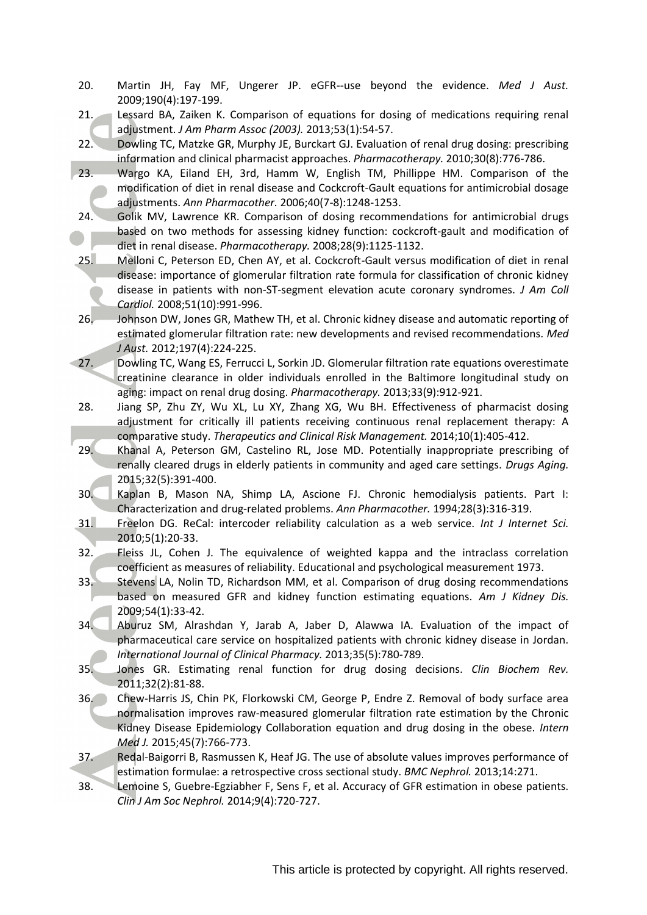- <span id="page-12-0"></span>20. Martin JH, Fay MF, Ungerer JP. eGFR--use beyond the evidence. *Med J Aust.*  2009;190(4):197-199.
- <span id="page-12-1"></span>21. Lessard BA, Zaiken K. Comparison of equations for dosing of medications requiring renal adjustment. *J Am Pharm Assoc (2003).* 2013;53(1):54-57.
- 22. Dowling TC, Matzke GR, Murphy JE, Burckart GJ. Evaluation of renal drug dosing: prescribing information and clinical pharmacist approaches. *Pharmacotherapy.* 2010;30(8):776-786.
- 23. Wargo KA, Eiland EH, 3rd, Hamm W, English TM, Phillippe HM. Comparison of the modification of diet in renal disease and Cockcroft-Gault equations for antimicrobial dosage adjustments. *Ann Pharmacother.* 2006;40(7-8):1248-1253.
- 24. Golik MV, Lawrence KR. Comparison of dosing recommendations for antimicrobial drugs based on two methods for assessing kidney function: cockcroft-gault and modification of diet in renal disease. *Pharmacotherapy.* 2008;28(9):1125-1132.
- 25. Melloni C, Peterson ED, Chen AY, et al. Cockcroft-Gault versus modification of diet in renal disease: importance of glomerular filtration rate formula for classification of chronic kidney disease in patients with non-ST-segment elevation acute coronary syndromes. *J Am Coll Cardiol.* 2008;51(10):991-996.
- <span id="page-12-2"></span>26. Johnson DW, Jones GR, Mathew TH, et al. Chronic kidney disease and automatic reporting of estimated glomerular filtration rate: new developments and revised recommendations. *Med J Aust.* 2012;197(4):224-225.
- <span id="page-12-3"></span>27. Dowling TC, Wang ES, Ferrucci L, Sorkin JD. Glomerular filtration rate equations overestimate creatinine clearance in older individuals enrolled in the Baltimore longitudinal study on aging: impact on renal drug dosing. *Pharmacotherapy.* 2013;33(9):912-921.
- <span id="page-12-4"></span>28. Jiang SP, Zhu ZY, Wu XL, Lu XY, Zhang XG, Wu BH. Effectiveness of pharmacist dosing adjustment for critically ill patients receiving continuous renal replacement therapy: A comparative study. *Therapeutics and Clinical Risk Management.* 2014;10(1):405-412.
- <span id="page-12-5"></span>29. Khanal A, Peterson GM, Castelino RL, Jose MD. Potentially inappropriate prescribing of renally cleared drugs in elderly patients in community and aged care settings. *Drugs Aging.*  2015;32(5):391-400.
- <span id="page-12-6"></span>30. Kaplan B, Mason NA, Shimp LA, Ascione FJ. Chronic hemodialysis patients. Part I: Characterization and drug-related problems. *Ann Pharmacother.* 1994;28(3):316-319.
- <span id="page-12-7"></span>31. Freelon DG. ReCal: intercoder reliability calculation as a web service. *Int J Internet Sci.*  2010;5(1):20-33.
- <span id="page-12-8"></span>32. Fleiss JL, Cohen J. The equivalence of weighted kappa and the intraclass correlation coefficient as measures of reliability. Educational and psychological measurement 1973.
- <span id="page-12-9"></span>33. Stevens LA, Nolin TD, Richardson MM, et al. Comparison of drug dosing recommendations based on measured GFR and kidney function estimating equations. *Am J Kidney Dis.*  2009;54(1):33-42.
- <span id="page-12-10"></span>34. Aburuz SM, Alrashdan Y, Jarab A, Jaber D, Alawwa IA. Evaluation of the impact of pharmaceutical care service on hospitalized patients with chronic kidney disease in Jordan. *International Journal of Clinical Pharmacy.* 2013;35(5):780-789.
- <span id="page-12-11"></span>35. Jones GR. Estimating renal function for drug dosing decisions. *Clin Biochem Rev.*  2011;32(2):81-88.
- <span id="page-12-12"></span>36. Chew-Harris JS, Chin PK, Florkowski CM, George P, Endre Z. Removal of body surface area normalisation improves raw-measured glomerular filtration rate estimation by the Chronic Kidney Disease Epidemiology Collaboration equation and drug dosing in the obese. *Intern Med J.* 2015;45(7):766-773.
- <span id="page-12-13"></span>37. Redal-Baigorri B, Rasmussen K, Heaf JG. The use of absolute values improves performance of estimation formulae: a retrospective cross sectional study. *BMC Nephrol.* 2013;14:271.
- <span id="page-12-14"></span>38. Lemoine S, Guebre-Egziabher F, Sens F, et al. Accuracy of GFR estimation in obese patients. *Clin J Am Soc Nephrol.* 2014;9(4):720-727.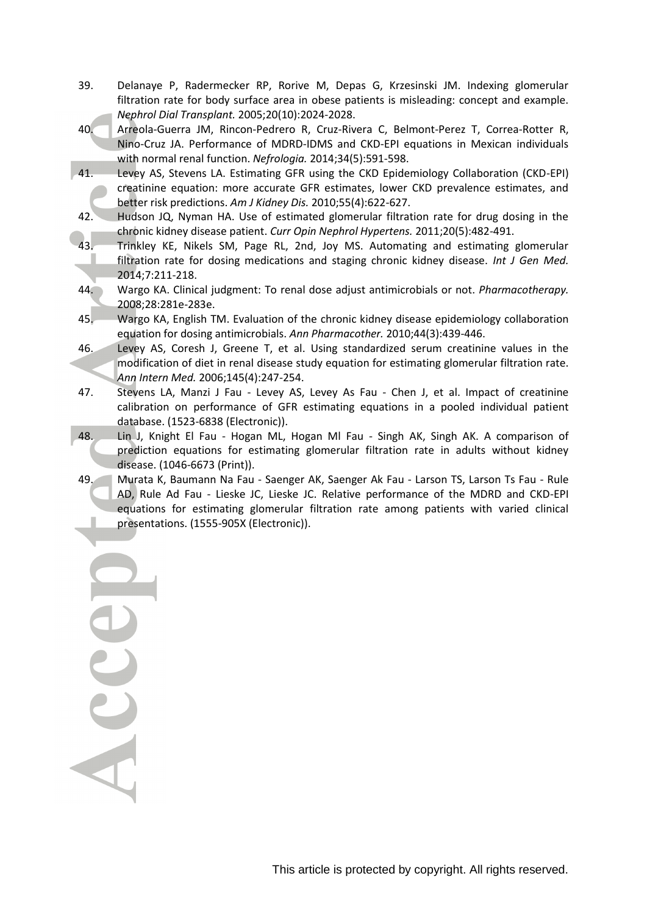- <span id="page-13-0"></span>39. Delanaye P, Radermecker RP, Rorive M, Depas G, Krzesinski JM. Indexing glomerular filtration rate for body surface area in obese patients is misleading: concept and example. *Nephrol Dial Transplant.* 2005;20(10):2024-2028.
- <span id="page-13-1"></span>40. Arreola-Guerra JM, Rincon-Pedrero R, Cruz-Rivera C, Belmont-Perez T, Correa-Rotter R, Nino-Cruz JA. Performance of MDRD-IDMS and CKD-EPI equations in Mexican individuals with normal renal function. *Nefrologia.* 2014;34(5):591-598.
- <span id="page-13-2"></span>41. Levey AS, Stevens LA. Estimating GFR using the CKD Epidemiology Collaboration (CKD-EPI) creatinine equation: more accurate GFR estimates, lower CKD prevalence estimates, and better risk predictions. *Am J Kidney Dis.* 2010;55(4):622-627.
- <span id="page-13-3"></span>42. Hudson JQ, Nyman HA. Use of estimated glomerular filtration rate for drug dosing in the chronic kidney disease patient. *Curr Opin Nephrol Hypertens.* 2011;20(5):482-491.
- <span id="page-13-4"></span>43. Trinkley KE, Nikels SM, Page RL, 2nd, Joy MS. Automating and estimating glomerular filtration rate for dosing medications and staging chronic kidney disease. *Int J Gen Med.*  2014;7:211-218.
- <span id="page-13-5"></span>44. Wargo KA. Clinical judgment: To renal dose adjust antimicrobials or not. *Pharmacotherapy.*  2008;28:281e-283e.
- <span id="page-13-6"></span>45. Wargo KA, English TM. Evaluation of the chronic kidney disease epidemiology collaboration equation for dosing antimicrobials. *Ann Pharmacother.* 2010;44(3):439-446.
- <span id="page-13-7"></span>46. Levey AS, Coresh J, Greene T, et al. Using standardized serum creatinine values in the modification of diet in renal disease study equation for estimating glomerular filtration rate. *Ann Intern Med.* 2006;145(4):247-254.
- <span id="page-13-8"></span>47. Stevens LA, Manzi J Fau - Levey AS, Levey As Fau - Chen J, et al. Impact of creatinine calibration on performance of GFR estimating equations in a pooled individual patient database. (1523-6838 (Electronic)).
- <span id="page-13-9"></span>48. Lin J, Knight El Fau - Hogan ML, Hogan Ml Fau - Singh AK, Singh AK. A comparison of prediction equations for estimating glomerular filtration rate in adults without kidney disease. (1046-6673 (Print)).
- <span id="page-13-10"></span>49. Murata K, Baumann Na Fau - Saenger AK, Saenger Ak Fau - Larson TS, Larson Ts Fau - Rule AD, Rule Ad Fau - Lieske JC, Lieske JC. Relative performance of the MDRD and CKD-EPI equations for estimating glomerular filtration rate among patients with varied clinical presentations. (1555-905X (Electronic)).

Acce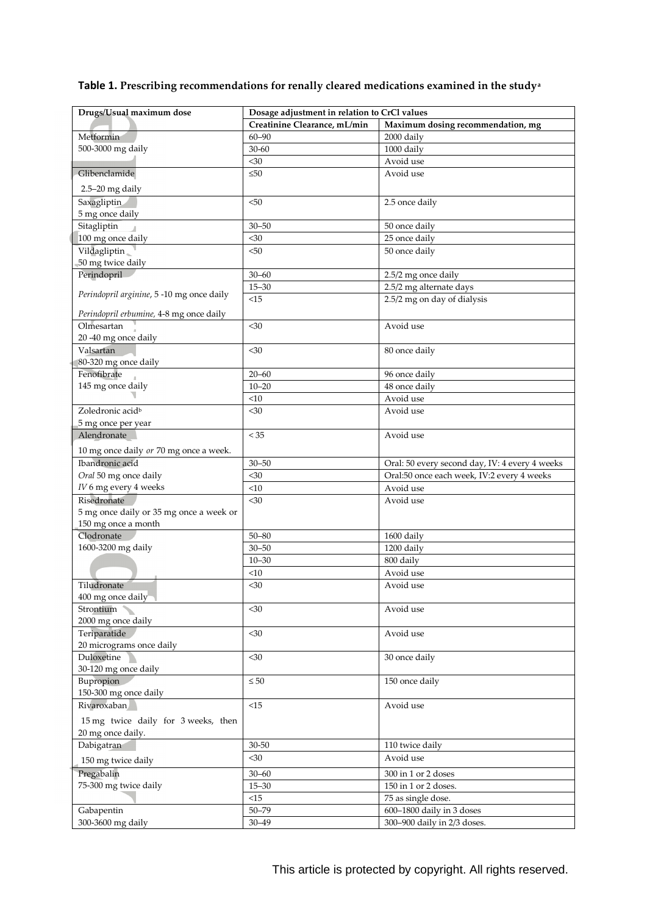## **Table 1. Prescribing recommendations for renally cleared medications examined in the study<sup>a</sup>**

| Drugs/Usual maximum dose                  | Dosage adjustment in relation to CrCl values |                                                |  |  |  |  |  |  |  |
|-------------------------------------------|----------------------------------------------|------------------------------------------------|--|--|--|--|--|--|--|
|                                           | Creatinine Clearance, mL/min                 | Maximum dosing recommendation, mg              |  |  |  |  |  |  |  |
| Metformin                                 | $60 - 90$                                    | 2000 daily                                     |  |  |  |  |  |  |  |
| 500-3000 mg daily                         | $30 - 60$                                    | 1000 daily                                     |  |  |  |  |  |  |  |
|                                           | $30$                                         | Avoid use                                      |  |  |  |  |  |  |  |
| Glibenclamide                             | $\leq 50$                                    | Avoid use                                      |  |  |  |  |  |  |  |
| $2.5 - 20$ mg daily                       |                                              |                                                |  |  |  |  |  |  |  |
| Saxagliptin                               | $50$                                         | 2.5 once daily                                 |  |  |  |  |  |  |  |
| 5 mg once daily                           |                                              |                                                |  |  |  |  |  |  |  |
| Sitagliptin                               | $30 - 50$                                    | 50 once daily                                  |  |  |  |  |  |  |  |
| 100 mg once daily                         | $<$ 30                                       | 25 once daily                                  |  |  |  |  |  |  |  |
| Vildagliptin                              | $50$                                         | 50 once daily                                  |  |  |  |  |  |  |  |
| 50 mg twice daily                         |                                              |                                                |  |  |  |  |  |  |  |
| Perindopril                               | $30 - 60$                                    | 2.5/2 mg once daily                            |  |  |  |  |  |  |  |
|                                           | $15 - 30$                                    | 2.5/2 mg alternate days                        |  |  |  |  |  |  |  |
| Perindopril arginine, 5 -10 mg once daily | <15                                          | 2.5/2 mg on day of dialysis                    |  |  |  |  |  |  |  |
| Perindopril erbumine, 4-8 mg once daily   |                                              |                                                |  |  |  |  |  |  |  |
| Olmesartan                                | <30                                          | Avoid use                                      |  |  |  |  |  |  |  |
| 20 -40 mg once daily                      |                                              |                                                |  |  |  |  |  |  |  |
| Valsartan                                 | $30$                                         | 80 once daily                                  |  |  |  |  |  |  |  |
| 80-320 mg once daily                      |                                              |                                                |  |  |  |  |  |  |  |
| Fenofibrate                               | $20 - 60$                                    | 96 once daily                                  |  |  |  |  |  |  |  |
| 145 mg once daily                         | $10 - 20$                                    | 48 once daily                                  |  |  |  |  |  |  |  |
|                                           | <10                                          | Avoid use                                      |  |  |  |  |  |  |  |
| Zoledronic acid <sup>b</sup>              | $30$                                         | Avoid use                                      |  |  |  |  |  |  |  |
| 5 mg once per year                        |                                              |                                                |  |  |  |  |  |  |  |
| Alendronate                               | < 35                                         | Avoid use                                      |  |  |  |  |  |  |  |
|                                           |                                              |                                                |  |  |  |  |  |  |  |
| 10 mg once daily or 70 mg once a week.    |                                              |                                                |  |  |  |  |  |  |  |
| Ibandronic acid                           | $30 - 50$                                    | Oral: 50 every second day, IV: 4 every 4 weeks |  |  |  |  |  |  |  |
| Oral 50 mg once daily                     | $30$                                         | Oral:50 once each week, IV:2 every 4 weeks     |  |  |  |  |  |  |  |
| IV 6 mg every 4 weeks                     | <10                                          | Avoid use                                      |  |  |  |  |  |  |  |
| Risedronate                               | $30$                                         | Avoid use                                      |  |  |  |  |  |  |  |
| 5 mg once daily or 35 mg once a week or   |                                              |                                                |  |  |  |  |  |  |  |
| 150 mg once a month                       |                                              |                                                |  |  |  |  |  |  |  |
| Clodronate                                | $50 - 80$                                    | 1600 daily                                     |  |  |  |  |  |  |  |
| 1600-3200 mg daily                        | $30 - 50$                                    | 1200 daily                                     |  |  |  |  |  |  |  |
|                                           | $10 - 30$                                    | 800 daily                                      |  |  |  |  |  |  |  |
|                                           | <10                                          | Avoid use                                      |  |  |  |  |  |  |  |
| Tiludronate                               | $30$                                         | Avoid use                                      |  |  |  |  |  |  |  |
| 400 mg once daily                         |                                              |                                                |  |  |  |  |  |  |  |
| Strontium                                 | $30$                                         | Avoid use                                      |  |  |  |  |  |  |  |
| 2000 mg once daily                        |                                              |                                                |  |  |  |  |  |  |  |
| Teriparatide                              | $30$                                         | Avoid use                                      |  |  |  |  |  |  |  |
| 20 micrograms once daily                  |                                              |                                                |  |  |  |  |  |  |  |
| Duloxetine                                | $30$                                         | 30 once daily                                  |  |  |  |  |  |  |  |
| 30-120 mg once daily                      |                                              |                                                |  |  |  |  |  |  |  |
| Bupropion<br>150-300 mg once daily        | $\leq 50$                                    | 150 once daily                                 |  |  |  |  |  |  |  |
| Rivaroxaban                               | <15                                          | Avoid use                                      |  |  |  |  |  |  |  |
|                                           |                                              |                                                |  |  |  |  |  |  |  |
| 15 mg twice daily for 3 weeks, then       |                                              |                                                |  |  |  |  |  |  |  |
| 20 mg once daily.                         |                                              |                                                |  |  |  |  |  |  |  |
| Dabigatran                                | $30 - 50$                                    | 110 twice daily                                |  |  |  |  |  |  |  |
| 150 mg twice daily                        | $30$                                         | Avoid use                                      |  |  |  |  |  |  |  |
| Pregabalin                                | $30 - 60$                                    | 300 in 1 or 2 doses                            |  |  |  |  |  |  |  |
| 75-300 mg twice daily                     | $15 - 30$                                    | 150 in 1 or 2 doses.                           |  |  |  |  |  |  |  |
|                                           | <15                                          | 75 as single dose.                             |  |  |  |  |  |  |  |
| Gabapentin                                | $50 - 79$                                    | 600-1800 daily in 3 doses                      |  |  |  |  |  |  |  |
| 300-3600 mg daily                         | $30 - 49$                                    | 300-900 daily in 2/3 doses.                    |  |  |  |  |  |  |  |
|                                           |                                              |                                                |  |  |  |  |  |  |  |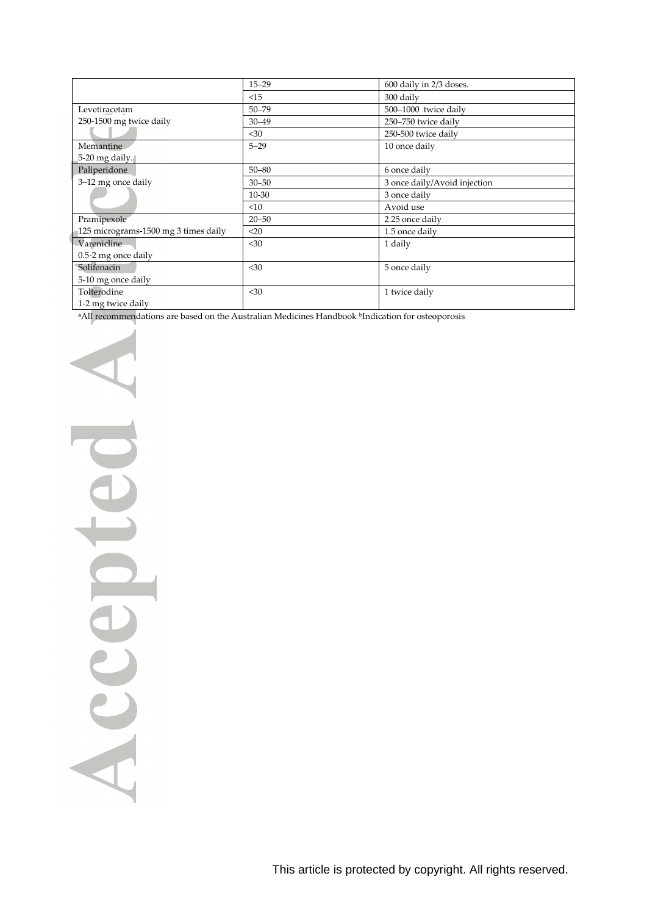|                                      | $15 - 29$ | 600 daily in 2/3 doses.      |  |  |  |  |  |
|--------------------------------------|-----------|------------------------------|--|--|--|--|--|
|                                      | <15       | 300 daily                    |  |  |  |  |  |
| Levetiracetam                        | $50 - 79$ | 500-1000 twice daily         |  |  |  |  |  |
| 250-1500 mg twice daily              | $30 - 49$ | 250-750 twice daily          |  |  |  |  |  |
|                                      | $30$      | 250-500 twice daily          |  |  |  |  |  |
| Memantine                            | $5 - 29$  | 10 once daily                |  |  |  |  |  |
| 5-20 mg daily.                       |           |                              |  |  |  |  |  |
| Paliperidone                         | $50 - 80$ | 6 once daily                 |  |  |  |  |  |
| 3-12 mg once daily                   | $30 - 50$ | 3 once daily/Avoid injection |  |  |  |  |  |
|                                      | $10 - 30$ | 3 once daily                 |  |  |  |  |  |
|                                      | <10       | Avoid use                    |  |  |  |  |  |
| Pramipexole                          | $20 - 50$ | 2.25 once daily              |  |  |  |  |  |
| 125 micrograms-1500 mg 3 times daily | <20       | 1.5 once daily               |  |  |  |  |  |
| Varenicline                          | $30$      | 1 daily                      |  |  |  |  |  |
| 0.5-2 mg once daily                  |           |                              |  |  |  |  |  |
| Solifenacin                          | $30$      | 5 once daily                 |  |  |  |  |  |
| 5-10 mg once daily                   |           |                              |  |  |  |  |  |
| Tolterodine                          | $30$      | 1 twice daily                |  |  |  |  |  |
| 1-2 mg twice daily                   |           |                              |  |  |  |  |  |

<sup>a</sup>All recommendations are based on the Australian Medicines Handbook <sup>b</sup>Indication for osteoporosis

UC Accept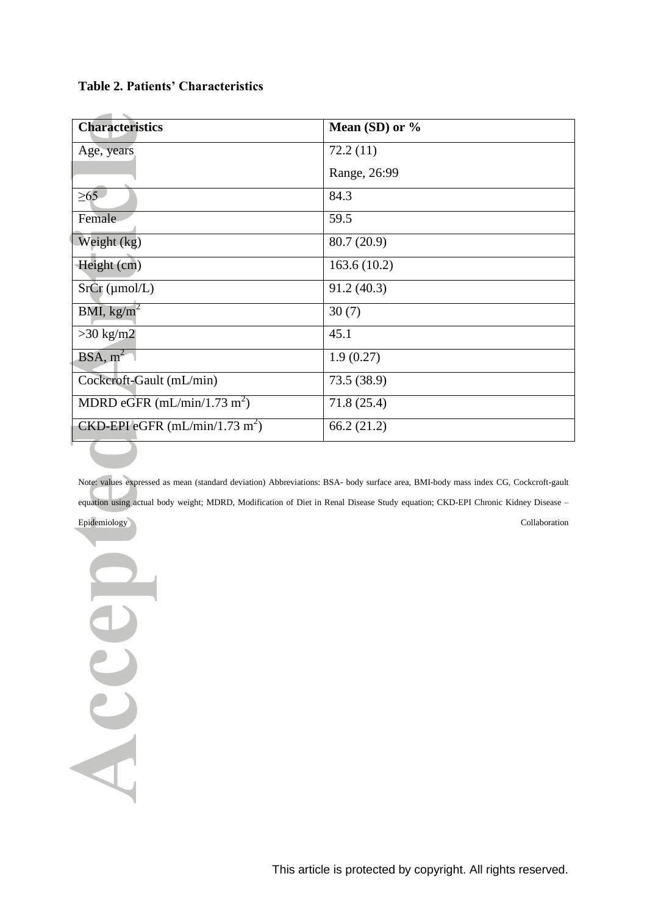| <b>Table 2. Patients' Characteristics</b> |  |
|-------------------------------------------|--|
|-------------------------------------------|--|

Accep

| <b>Characteristics</b>                       | Mean (SD) or $\%$ |
|----------------------------------------------|-------------------|
| Age, years                                   | 72.2(11)          |
|                                              | Range, 26:99      |
| $\geq 65$                                    | 84.3              |
| Female                                       | 59.5              |
| Weight (kg)                                  | 80.7 (20.9)       |
| Height (cm)                                  | 163.6(10.2)       |
| $SrCr$ (µmol/L)                              | 91.2(40.3)        |
| BMI, $\text{kg/m}^2$                         | 30(7)             |
| $>30$ kg/m2                                  | 45.1              |
| BSA, m <sup>2</sup>                          | 1.9(0.27)         |
| Cockcroft-Gault (mL/min)                     | 73.5 (38.9)       |
| MDRD eGFR (mL/min/1.73 m <sup>2</sup> )      | 71.8(25.4)        |
| $CKD-EPI$ eGFR (mL/min/1.73 m <sup>2</sup> ) | 66.2(21.2)        |

Note: values expressed as mean (standard deviation) Abbreviations: BSA- body surface area, BMI-body mass index CG, Cockcroft-gault equation using actual body weight; MDRD, Modification of Diet in Renal Disease Study equation; CKD-EPI Chronic Kidney Disease – Epidemiology Collaboration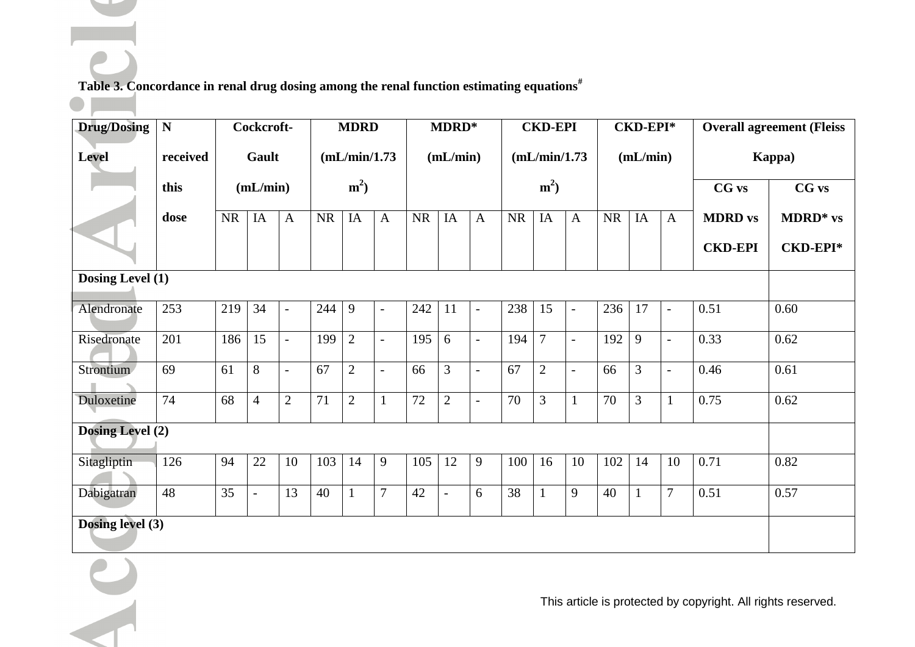|  |  | Table 3. Concordance in renal drug dosing among the renal function estimating equations <sup>#</sup> |
|--|--|------------------------------------------------------------------------------------------------------|
|  |  |                                                                                                      |

| <b>Drug/Dosing</b>      | ${\bf N}$       |                 | Cockcroft-               |                          |                 | <b>MDRD</b>     |                          |                 | MDRD*                    |                |                 | <b>CKD-EPI</b><br>(mL/min/1.73) |                          |                 |                 |                          |                                                              |          | <b>CKD-EPI*</b> |  | <b>Overall agreement (Fleiss</b> |  |
|-------------------------|-----------------|-----------------|--------------------------|--------------------------|-----------------|-----------------|--------------------------|-----------------|--------------------------|----------------|-----------------|---------------------------------|--------------------------|-----------------|-----------------|--------------------------|--------------------------------------------------------------|----------|-----------------|--|----------------------------------|--|
| Level                   | received        |                 | Gault                    |                          |                 | (mL/min/1.73)   |                          |                 | (mL/min)                 |                |                 |                                 |                          |                 |                 |                          | (mL/min)                                                     |          | Kappa)          |  |                                  |  |
|                         | this            |                 | (mL/min)                 |                          |                 | $m^2$ )         |                          |                 |                          |                |                 | $m^2$ )                         |                          |                 |                 |                          | CG vs                                                        | CG vs    |                 |  |                                  |  |
|                         | dose            | <b>NR</b>       | IA                       | $\mathbf{A}$             | <b>NR</b>       | IA              | $\mathbf{A}$             | <b>NR</b>       | IA                       | $\mathbf{A}$   | <b>NR</b>       | IA                              | $\mathbf{A}$             | NR              | IA              | $\mathbf{A}$             | <b>MDRD</b> vs                                               | MDRD* vs |                 |  |                                  |  |
|                         |                 |                 |                          |                          |                 |                 |                          |                 |                          |                |                 |                                 |                          |                 |                 |                          | <b>CKD-EPI</b>                                               | CKD-EPI* |                 |  |                                  |  |
| Dosing Level (1)        |                 |                 |                          |                          |                 |                 |                          |                 |                          |                |                 |                                 |                          |                 |                 |                          |                                                              |          |                 |  |                                  |  |
| Alendronate             | 253             | 219             | 34                       | $\overline{\phantom{a}}$ | 244             | $\overline{9}$  | $\blacksquare$           | 242             | 11                       | $\blacksquare$ | 238             | 15                              | $\overline{\phantom{a}}$ | 236             | 17              | $\overline{\phantom{a}}$ | 0.51                                                         | 0.60     |                 |  |                                  |  |
| Risedronate             | 201             | 186             | 15                       | $\overline{\phantom{a}}$ | 199             | $\overline{2}$  | $\overline{\phantom{a}}$ | 195             | 6                        | $\blacksquare$ | 194             | $\overline{7}$                  | $\overline{\phantom{a}}$ | 192             | 9               | $\overline{\phantom{a}}$ | 0.33                                                         | 0.62     |                 |  |                                  |  |
| Strontium               | 69              | $\overline{61}$ | 8                        | $\overline{\phantom{a}}$ | $\overline{67}$ | $\overline{2}$  | $\overline{\phantom{a}}$ | $\overline{66}$ | $\overline{3}$           | $\blacksquare$ | $\overline{67}$ | $\overline{2}$                  | $\overline{\phantom{a}}$ | $\overline{66}$ | $\overline{3}$  | $\overline{\phantom{a}}$ | 0.46                                                         | 0.61     |                 |  |                                  |  |
| Duloxetine              | $\overline{74}$ | 68              | $\overline{4}$           | $\mathbf{2}$             | 71              | $\overline{2}$  | $\mathbf{1}$             | 72              | $\overline{2}$           | $\overline{a}$ | 70              | 3                               | $\mathbf{1}$             | 70              | $\mathfrak{Z}$  | $\mathbf{1}$             | 0.75                                                         | 0.62     |                 |  |                                  |  |
| <b>Dosing Level (2)</b> |                 |                 |                          |                          |                 |                 |                          |                 |                          |                |                 |                                 |                          |                 |                 |                          |                                                              |          |                 |  |                                  |  |
| Sitagliptin             | 126             | 94              | $\overline{22}$          | $\overline{10}$          | 103             | $\overline{14}$ | 9                        | 105             | $\overline{12}$          | 9              | 100             | $\overline{16}$                 | $\overline{10}$          | 102             | $\overline{14}$ | $\overline{10}$          | 0.71                                                         | 0.82     |                 |  |                                  |  |
| Dabigatran              | 48              | 35              | $\overline{\phantom{a}}$ | 13                       | 40              | $\mathbf{1}$    | $\tau$                   | 42              | $\overline{\phantom{a}}$ | 6              | 38              | $\mathbf{1}$                    | 9                        | 40              | $\mathbf{1}$    | $\overline{7}$           | 0.51                                                         | 0.57     |                 |  |                                  |  |
| Dosing level (3)        |                 |                 |                          |                          |                 |                 |                          |                 |                          |                |                 |                                 |                          |                 |                 |                          |                                                              |          |                 |  |                                  |  |
|                         |                 |                 |                          |                          |                 |                 |                          |                 |                          |                |                 |                                 |                          |                 |                 |                          |                                                              |          |                 |  |                                  |  |
|                         |                 |                 |                          |                          |                 |                 |                          |                 |                          |                |                 |                                 |                          |                 |                 |                          | This article is protected by copyright. All rights reserved. |          |                 |  |                                  |  |
|                         |                 |                 |                          |                          |                 |                 |                          |                 |                          |                |                 |                                 |                          |                 |                 |                          |                                                              |          |                 |  |                                  |  |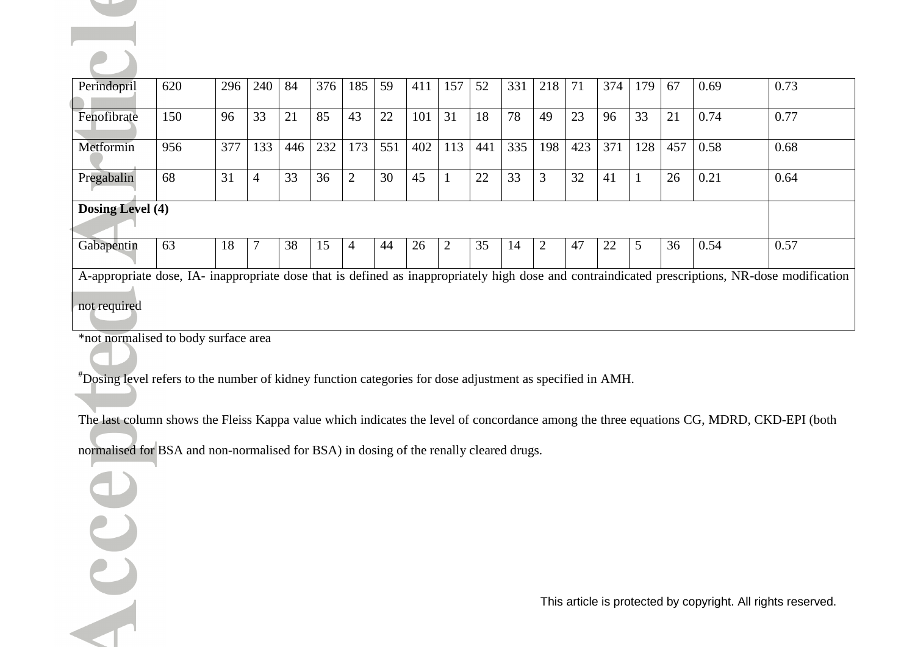| Perindopril             | 620 | 296 | 240 | 84  | 376 | 185            | 59  | 411 | 157 | 52  | 331 | 218            | 71  | 374 | 179 | 67  | 0.69 | 0.73                                                                                                                                            |
|-------------------------|-----|-----|-----|-----|-----|----------------|-----|-----|-----|-----|-----|----------------|-----|-----|-----|-----|------|-------------------------------------------------------------------------------------------------------------------------------------------------|
|                         |     |     |     |     |     |                |     |     |     |     |     |                |     |     |     |     |      |                                                                                                                                                 |
| Fenofibrate             | 150 | 96  | 33  | 21  | 85  | 43             | 22  | 101 | 31  | 18  | 78  | 49             | 23  | 96  | 33  | 21  | 0.74 | 0.77                                                                                                                                            |
| Metformin               | 956 | 377 | 133 | 446 | 232 | 173            | 551 | 402 | 113 | 441 | 335 | 198            | 423 | 371 | 128 | 457 | 0.58 | 0.68                                                                                                                                            |
| Pregabalin              | 68  | 31  | 4   | 33  | 36  | $\overline{2}$ | 30  | 45  | -1  | 22  | 33  | 3              | 32  | 41  |     | 26  | 0.21 | 0.64                                                                                                                                            |
| <b>Dosing Level (4)</b> |     |     |     |     |     |                |     |     |     |     |     |                |     |     |     |     |      |                                                                                                                                                 |
| Gabapentin              | 63  | 18  |     | 38  | 15  | 4              | 44  | 26  | 2   | 35  | 14  | $\overline{2}$ | 47  | 22  | 5   | 36  | 0.54 | 0.57                                                                                                                                            |
|                         |     |     |     |     |     |                |     |     |     |     |     |                |     |     |     |     |      | A-appropriate dose, IA- inappropriate dose that is defined as inappropriately high dose and contraindicated prescriptions, NR-dose modification |
| not required            |     |     |     |     |     |                |     |     |     |     |     |                |     |     |     |     |      |                                                                                                                                                 |

\*not normalised to body surface area

CCC

سمال

#Dosing level refers to the number of kidney function categories for dose adjustment as specified in AMH.

The last column shows the Fleiss Kappa value which indicates the level of concordance among the three equations CG, MDRD, CKD-EPI (both

normalised for BSA and non-normalised for BSA) in dosing of the renally cleared drugs.